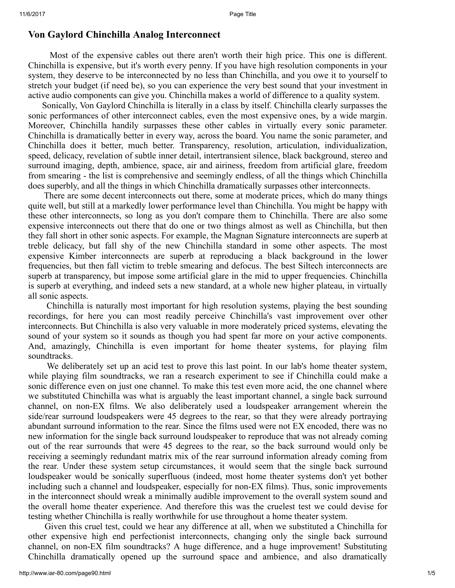## Von Gaylord Chinchilla Analog Interconnect

Most of the expensive cables out there aren't worth their high price. This one is different. Chinchilla is expensive, but it's worth every penny. If you have high resolution components in your system, they deserve to be interconnected by no less than Chinchilla, and you owe it to yourself to stretch your budget (if need be), so you can experience the very best sound that your investment in active audio components can give you. Chinchilla makes a world of difference to a quality system.

Sonically, Von Gaylord Chinchilla is literally in a class by itself. Chinchilla clearly surpasses the sonic performances of other interconnect cables, even the most expensive ones, by a wide margin. Moreover, Chinchilla handily surpasses these other cables in virtually every sonic parameter. Chinchilla is dramatically better in every way, across the board. You name the sonic parameter, and Chinchilla does it better, much better. Transparency, resolution, articulation, individualization, speed, delicacy, revelation of subtle inner detail, intertransient silence, black background, stereo and surround imaging, depth, ambience, space, air and airiness, freedom from artificial glare, freedom from smearing - the list is comprehensive and seemingly endless, of all the things which Chinchilla does superbly, and all the things in which Chinchilla dramatically surpasses other interconnects.

There are some decent interconnects out there, some at moderate prices, which do many things quite well, but still at a markedly lower performance level than Chinchilla. You might be happy with these other interconnects, so long as you don't compare them to Chinchilla. There are also some expensive interconnects out there that do one or two things almost as well as Chinchilla, but then they fall short in other sonic aspects. For example, the Magnan Signature interconnects are superb at treble delicacy, but fall shy of the new Chinchilla standard in some other aspects. The most expensive Kimber interconnects are superb at reproducing a black background in the lower frequencies, but then fall victim to treble smearing and defocus. The best Siltech interconnects are superb at transparency, but impose some artificial glare in the mid to upper frequencies. Chinchilla is superb at everything, and indeed sets a new standard, at a whole new higher plateau, in virtually all sonic aspects.

Chinchilla is naturally most important for high resolution systems, playing the best sounding recordings, for here you can most readily perceive Chinchilla's vast improvement over other interconnects. But Chinchilla is also very valuable in more moderately priced systems, elevating the sound of your system so it sounds as though you had spent far more on your active components. And, amazingly, Chinchilla is even important for home theater systems, for playing film soundtracks.

We deliberately set up an acid test to prove this last point. In our lab's home theater system, while playing film soundtracks, we ran a research experiment to see if Chinchilla could make a sonic difference even on just one channel. To make this test even more acid, the one channel where we substituted Chinchilla was what is arguably the least important channel, a single back surround channel, on non-EX films. We also deliberately used a loudspeaker arrangement wherein the side/rear surround loudspeakers were 45 degrees to the rear, so that they were already portraying abundant surround information to the rear. Since the films used were not EX encoded, there was no new information for the single back surround loudspeaker to reproduce that was not already coming out of the rear surrounds that were 45 degrees to the rear, so the back surround would only be receiving a seemingly redundant matrix mix of the rear surround information already coming from the rear. Under these system setup circumstances, it would seem that the single back surround loudspeaker would be sonically superfluous (indeed, most home theater systems don't yet bother including such a channel and loudspeaker, especially for non-EX films). Thus, sonic improvements in the interconnect should wreak a minimally audible improvement to the overall system sound and the overall home theater experience. And therefore this was the cruelest test we could devise for testing whether Chinchilla is really worthwhile for use throughout a home theater system.

Given this cruel test, could we hear any difference at all, when we substituted a Chinchilla for other expensive high end perfectionist interconnects, changing only the single back surround channel, on non-EX film soundtracks? A huge difference, and a huge improvement! Substituting Chinchilla dramatically opened up the surround space and ambience, and also dramatically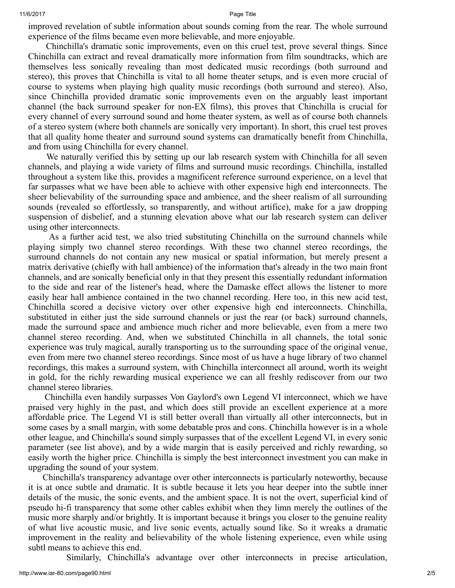improved revelation of subtle information about sounds coming from the rear. The whole surround experience of the films became even more believable, and more enjoyable.

Chinchilla's dramatic sonic improvements, even on this cruel test, prove several things. Since Chinchilla can extract and reveal dramatically more information from film soundtracks, which are themselves less sonically revealing than most dedicated music recordings (both surround and stereo), this proves that Chinchilla is vital to all home theater setups, and is even more crucial of course to systems when playing high quality music recordings (both surround and stereo). Also, since Chinchilla provided dramatic sonic improvements even on the arguably least important channel (the back surround speaker for non-EX films), this proves that Chinchilla is crucial for every channel of every surround sound and home theater system, as well as of course both channels of a stereo system (where both channels are sonically very important). In short, this cruel test proves that all quality home theater and surround sound systems can dramatically benefit from Chinchilla, and from using Chinchilla for every channel.

We naturally verified this by setting up our lab research system with Chinchilla for all seven channels, and playing a wide variety of films and surround music recordings. Chinchilla, installed throughout a system like this, provides a magnificent reference surround experience, on a level that far surpasses what we have been able to achieve with other expensive high end interconnects. The sheer believability of the surrounding space and ambience, and the sheer realism of all surrounding sounds (revealed so effortlessly, so transparently, and without artifice), make for a jaw dropping suspension of disbelief, and a stunning elevation above what our lab research system can deliver using other interconnects.

As a further acid test, we also tried substituting Chinchilla on the surround channels while playing simply two channel stereo recordings. With these two channel stereo recordings, the surround channels do not contain any new musical or spatial information, but merely present a matrix derivative (chiefly with hall ambience) of the information that's already in the two main front channels, and are sonically beneficial only in that they present this essentially redundant information to the side and rear of the listener's head, where the Damaske effect allows the listener to more easily hear hall ambience contained in the two channel recording. Here too, in this new acid test, Chinchilla scored a decisive victory over other expensive high end interconnects. Chinchilla, substituted in either just the side surround channels or just the rear (or back) surround channels, made the surround space and ambience much richer and more believable, even from a mere two channel stereo recording. And, when we substituted Chinchilla in all channels, the total sonic experience was truly magical, aurally transporting us to the surrounding space of the original venue, even from mere two channel stereo recordings. Since most of us have a huge library of two channel recordings, this makes a surround system, with Chinchilla interconnect all around, worth its weight in gold, for the richly rewarding musical experience we can all freshly rediscover from our two channel stereo libraries.

Chinchilla even handily surpasses Von Gaylord's own Legend VI interconnect, which we have praised very highly in the past, and which does still provide an excellent experience at a more affordable price. The Legend VI is still better overall than virtually all other interconnects, but in some cases by a small margin, with some debatable pros and cons. Chinchilla however is in a whole other league, and Chinchilla's sound simply surpasses that of the excellent Legend VI, in every sonic parameter (see list above), and by a wide margin that is easily perceived and richly rewarding, so easily worth the higher price. Chinchilla is simply the best interconnect investment you can make in upgrading the sound of your system.

Chinchilla's transparency advantage over other interconnects is particularly noteworthy, because it is at once subtle and dramatic. It is subtle because it lets you hear deeper into the subtle inner details of the music, the sonic events, and the ambient space. It is not the overt, superficial kind of pseudo hi-fi transparency that some other cables exhibit when they limn merely the outlines of the music more sharply and/or brightly. It is important because it brings you closer to the genuine reality of what live acoustic music, and live sonic events, actually sound like. So it wreaks a dramatic improvement in the reality and believability of the whole listening experience, even while using subtl means to achieve this end.

Similarly, Chinchilla's advantage over other interconnects in precise articulation,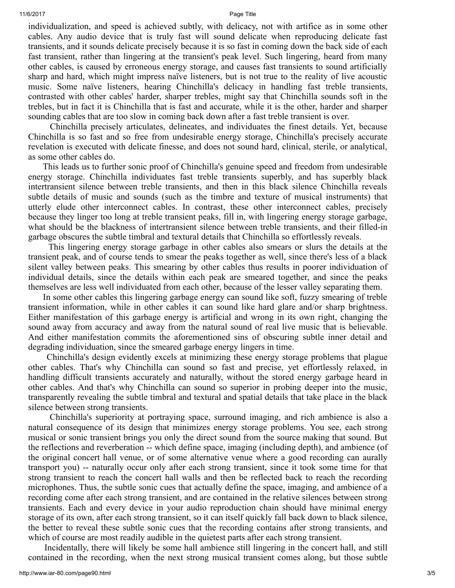individualization, and speed is achieved subtly, with delicacy, not with artifice as in some other cables. Any audio device that is truly fast will sound delicate when reproducing delicate fast transients, and it sounds delicate precisely because it is so fast in coming down the back side of each fast transient, rather than lingering at the transient's peak level. Such lingering, heard from many other cables, is caused by erroneous energy storage, and causes fast transients to sound artificially sharp and hard, which might impress naïve listeners, but is not true to the reality of live acoustic music. Some naïve listeners, hearing Chinchilla's delicacy in handling fast treble transients, contrasted with other cables' harder, sharper trebles, might say that Chinchilla sounds soft in the trebles, but in fact it is Chinchilla that is fast and accurate, while it is the other, harder and sharper sounding cables that are too slow in coming back down after a fast treble transient is over.

Chinchilla precisely articulates, delineates, and individuates the finest details. Yet, because Chinchilla is so fast and so free from undesirable energy storage, Chinchilla's precisely accurate revelation is executed with delicate finesse, and does not sound hard, clinical, sterile, or analytical, as some other cables do.

This leads us to further sonic proof of Chinchilla's genuine speed and freedom from undesirable energy storage. Chinchilla individuates fast treble transients superbly, and has superbly black intertransient silence between treble transients, and then in this black silence Chinchilla reveals subtle details of music and sounds (such as the timbre and texture of musical instruments) that utterly elude other interconnect cables. In contrast, these other interconnect cables, precisely because they linger too long at treble transient peaks, fill in, with lingering energy storage garbage, what should be the blackness of intertransient silence between treble transients, and their filled-in garbage obscures the subtle timbral and textural details that Chinchilla so effortlessly reveals.

This lingering energy storage garbage in other cables also smears or slurs the details at the transient peak, and of course tends to smear the peaks together as well, since there's less of a black silent valley between peaks. This smearing by other cables thus results in poorer individuation of individual details, since the details within each peak are smeared together, and since the peaks themselves are less well individuated from each other, because of the lesser valley separating them.

In some other cables this lingering garbage energy can sound like soft, fuzzy smearing of treble transient information, while in other cables it can sound like hard glare and/or sharp brightness. Either manifestation of this garbage energy is artificial and wrong in its own right, changing the sound away from accuracy and away from the natural sound of real live music that is believable. And either manifestation commits the aforementioned sins of obscuring subtle inner detail and degrading individuation, since the smeared garbage energy lingers in time.

Chinchilla's design evidently excels at minimizing these energy storage problems that plague other cables. That's why Chinchilla can sound so fast and precise, yet effortlessly relaxed, in handling difficult transients accurately and naturally, without the stored energy garbage heard in other cables. And that's why Chinchilla can sound so superior in probing deeper into the music, transparently revealing the subtle timbral and textural and spatial details that take place in the black silence between strong transients.

Chinchilla's superiority at portraying space, surround imaging, and rich ambience is also a natural consequence of its design that minimizes energy storage problems. You see, each strong musical or sonic transient brings you only the direct sound from the source making that sound. But the reflections and reverberation -- which define space, imaging (including depth), and ambience (of the original concert hall venue, or of some alternative venue where a good recording can aurally transport you) -- naturally occur only after each strong transient, since it took some time for that strong transient to reach the concert hall walls and then be reflected back to reach the recording microphones. Thus, the subtle sonic cues that actually define the space, imaging, and ambience of a recording come after each strong transient, and are contained in the relative silences between strong transients. Each and every device in your audio reproduction chain should have minimal energy storage of its own, after each strong transient, so it can itself quickly fall back down to black silence, the better to reveal these subtle sonic cues that the recording contains after strong transients, and which of course are most readily audible in the quietest parts after each strong transient.

Incidentally, there will likely be some hall ambience still lingering in the concert hall, and still contained in the recording, when the next strong musical transient comes along, but those subtle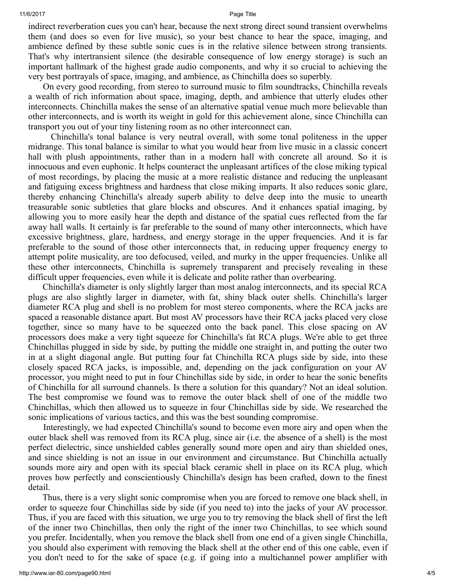indirect reverberation cues you can't hear, because the next strong direct sound transient overwhelms them (and does so even for live music), so your best chance to hear the space, imaging, and ambience defined by these subtle sonic cues is in the relative silence between strong transients. That's why intertransient silence (the desirable consequence of low energy storage) is such an important hallmark of the highest grade audio components, and why it so crucial to achieving the very best portrayals of space, imaging, and ambience, as Chinchilla does so superbly.

On every good recording, from stereo to surround music to film soundtracks, Chinchilla reveals a wealth of rich information about space, imaging, depth, and ambience that utterly eludes other interconnects. Chinchilla makes the sense of an alternative spatial venue much more believable than other interconnects, and is worth its weight in gold for this achievement alone, since Chinchilla can transport you out of your tiny listening room as no other interconnect can.

Chinchilla's tonal balance is very neutral overall, with some tonal politeness in the upper midrange. This tonal balance is similar to what you would hear from live music in a classic concert hall with plush appointments, rather than in a modern hall with concrete all around. So it is innocuous and even euphonic. It helps counteract the unpleasant artifices of the close miking typical of most recordings, by placing the music at a more realistic distance and reducing the unpleasant and fatiguing excess brightness and hardness that close miking imparts. It also reduces sonic glare, thereby enhancing Chinchilla's already superb ability to delve deep into the music to unearth treasurable sonic subtleties that glare blocks and obscures. And it enhances spatial imaging, by allowing you to more easily hear the depth and distance of the spatial cues reflected from the far away hall walls. It certainly is far preferable to the sound of many other interconnects, which have excessive brightness, glare, hardness, and energy storage in the upper frequencies. And it is far preferable to the sound of those other interconnects that, in reducing upper frequency energy to attempt polite musicality, are too defocused, veiled, and murky in the upper frequencies. Unlike all these other interconnects, Chinchilla is supremely transparent and precisely revealing in these difficult upper frequencies, even while it is delicate and polite rather than overbearing.

Chinchilla's diameter is only slightly larger than most analog interconnects, and its special RCA plugs are also slightly larger in diameter, with fat, shiny black outer shells. Chinchilla's larger diameter RCA plug and shell is no problem for most stereo components, where the RCA jacks are spaced a reasonable distance apart. But most AV processors have their RCA jacks placed very close together, since so many have to be squeezed onto the back panel. This close spacing on AV processors does make a very tight squeeze for Chinchilla's fat RCA plugs. We're able to get three Chinchillas plugged in side by side, by putting the middle one straight in, and putting the outer two in at a slight diagonal angle. But putting four fat Chinchilla RCA plugs side by side, into these closely spaced RCA jacks, is impossible, and, depending on the jack configuration on your AV processor, you might need to put in four Chinchillas side by side, in order to hear the sonic benefits of Chinchilla for all surround channels. Is there a solution for this quandary? Not an ideal solution. The best compromise we found was to remove the outer black shell of one of the middle two Chinchillas, which then allowed us to squeeze in four Chinchillas side by side. We researched the sonic implications of various tactics, and this was the best sounding compromise.

Interestingly, we had expected Chinchilla's sound to become even more airy and open when the outer black shell was removed from its RCA plug, since air (i.e. the absence of a shell) is the most perfect dielectric, since unshielded cables generally sound more open and airy than shielded ones, and since shielding is not an issue in our environment and circumstance. But Chinchilla actually sounds more airy and open with its special black ceramic shell in place on its RCA plug, which proves how perfectly and conscientiously Chinchilla's design has been crafted, down to the finest detail.

Thus, there is a very slight sonic compromise when you are forced to remove one black shell, in order to squeeze four Chinchillas side by side (if you need to) into the jacks of your AV processor. Thus, if you are faced with this situation, we urge you to try removing the black shell of first the left of the inner two Chinchillas, then only the right of the inner two Chinchillas, to see which sound you prefer. Incidentally, when you remove the black shell from one end of a given single Chinchilla, you should also experiment with removing the black shell at the other end of this one cable, even if you don't need to for the sake of space (e.g. if going into a multichannel power amplifier with